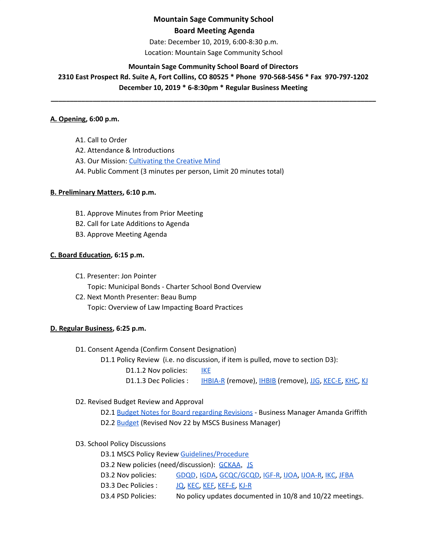# **Mountain Sage Community School Board Meeting Agenda**

Date: December 10, 2019, 6:00-8:30 p.m. Location: Mountain Sage Community School

## **Mountain Sage Community School Board of Directors**

**2310 East Prospect Rd. Suite A, Fort Collins, CO 80525 \* Phone 970-568-5456 \* Fax 970-797-1202 December 10, 2019 \* 6-8:30pm \* Regular Business Meeting**

**\_\_\_\_\_\_\_\_\_\_\_\_\_\_\_\_\_\_\_\_\_\_\_\_\_\_\_\_\_\_\_\_\_\_\_\_\_\_\_\_\_\_\_\_\_\_\_\_\_\_\_\_\_\_\_\_\_\_\_\_\_\_\_\_\_\_\_\_\_\_\_\_\_\_\_\_\_\_\_\_\_\_\_\_\_**

## **A. Opening, 6:00 p.m.**

A1. Call to Order A2. Attendance & Introductions A3. Our Mission: [Cultivating](http://www.mountainsage.org/mission-and-vision.html) the Creative Mind

A4. Public Comment (3 minutes per person, Limit 20 minutes total)

## **B. Preliminary Matters, 6:10 p.m.**

- B1. Approve Minutes from Prior Meeting
- B2. Call for Late Additions to Agenda
- B3. Approve Meeting Agenda

## **C. Board Education, 6:15 p.m.**

- C1. Presenter: Jon Pointer
	- Topic: Municipal Bonds Charter School Bond Overview
- C2. Next Month Presenter: Beau Bump Topic: Overview of Law Impacting Board Practices

## **D. Regular Business, 6:25 p.m.**

- D1. Consent Agenda (Confirm Consent Designation)
	- D1.1 Policy Review (i.e. no discussion, if item is pulled, move to section D3):

D1.1.2 Nov policies: [IKE](https://drive.google.com/open?id=1I3D9PZVQfAxLNnHPvh6lJbelu0b2F11KL5qVag1aSuo)

D1.1.3 Dec Policies : [IHBIA-R](https://docs.google.com/document/d/1JRkdkYWq7uaLIitD7G1WfFAfpVbhHGkTMyxxicz7u6s) (remove), [IHBIB](https://docs.google.com/document/d/1Zz1OFZCVyJdwitGBMUUujm6x19cMgFdUDZ5IUHliViQ) (remove), [JJG,](https://drive.google.com/open?id=1hksktTEx_XBmC49HSQvtHLIZNv89QglWCcCpdSE2tXo) [KEC-E,](https://drive.google.com/open?id=13WeIgPh5RUYm-Ya6XARAHpn0dXkEOy7EcM0RxEOf-Rs) [KHC](https://drive.google.com/open?id=1UKzxW5Cw0PCMIPfKCc090xDouTwKFZUvrymaAmziVUI), [KJ](https://drive.google.com/open?id=1nnaJnUOI03goqRYWhziJRp1PN9WvoA663_CNOTQSudE)

D2. Revised Budget Review and Approval

D2.1 Budget Notes for Board [regarding](https://docs.google.com/document/d/10iaPKQOwwQmp8n_vfa5C-ixRe8CdHVFXBTyu0IH68hM/edit?usp=sharing) Revisions - Business Manager Amanda Griffith D2.2 **[Budget](https://drive.google.com/file/d/0BwYnvoGpYgfKQWdYLVJqeEtHYXJTaXJxTVR1RUlfaURueDZJ/view?usp=sharing)** (Revised Nov 22 by MSCS Business Manager)

D3. School Policy Discussions

D3.1 MSCS Policy Review [Guidelines/Procedure](https://docs.google.com/document/d/1u8ShOV3kEX192OtZtSJ3ZH9IY_M6MqVyaK5HLtCC2dI/edit?usp=sharing) D3.2 New policies (need/discussion): [GCKAA](https://docs.google.com/document/d/1Merv1El9rhyfwYMXGs8uSGLrXBBh4bO79vgPTclIKW4/edit?usp=sharing), [JS](https://docs.google.com/document/d/1rf5GBWs-YOgZhMLOzJxPMH3JRSSvb52K1Sytz0KNBiU/edit?usp=sharing) D3.2 Nov policies: [GDQD](https://docs.google.com/document/d/1Ewwb0RIPZasF4ZmW7YUI-MQyvjgK7_aGBF7_874vNm8/edit?usp=sharing), [IGDA,](https://docs.google.com/document/d/1ONFLsWwDw5QlA0qGKI4D_B0HvphriPoS0YBWOq-vUs0/edit?usp=sharing) [GCQC/GCQD](https://docs.google.com/document/d/1D6Iny5P4TJOC1MrB8k0ZQvLsrddkCSKXYFmPRUw2HMo/edit), [IGF-R](https://drive.google.com/open?id=1miaI655qSVx0mkoge_Ogf0wfQe_WHysQOHWy3E8vP_4), [IJOA,](https://drive.google.com/open?id=127iMJeasFSKC9cgptf53Po-Lt65l7qPxlFaFTCDx8Bc) [IJOA-R](https://drive.google.com/open?id=10D8cL9gSGsZ4qw0McfOHYMYGB72Y2tjHtReRjqjzPfw), [IKC,](https://drive.google.com/open?id=1cgaogQY3tVvadtDpqK5bu3_PBjTILUTrKFvVYDPN50o) [JFBA](https://drive.google.com/open?id=1m83NJgTOFSnZcpq29US3wrK9G-vkSo7I16H8EIPojG0) D3.3 Dec Policies : [JQ,](https://drive.google.com/open?id=115IW9s0E6ypNZh50sUOOMpCKQFH_zLlkyJ42R2nRlVM) [KEC](https://drive.google.com/open?id=108m23bf4wN-nGySmWFhaqPyzr6OifhWuoCBYjYqfRoE), [KEF,](https://drive.google.com/open?id=1PkGD_XBOAP-jL2JqiAmeD62EL9Bty99a5dJvoddx_ho) [KEF-E,](https://drive.google.com/open?id=1gyWLSVji-NgBz--ucR7Yg7-mEroi6UyBq1-j4_SS3as) [KJ-R](https://docs.google.com/document/d/1Y4ZRTfhnfaBxuilXfk0sCEiIzcjzBLQFw72AJVi7ZmQ) D3.4 PSD Policies: No policy updates documented in 10/8 and 10/22 meetings.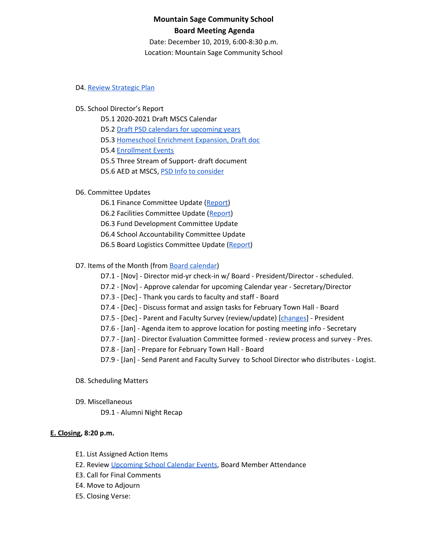## **Mountain Sage Community School Board Meeting Agenda**

Date: December 10, 2019, 6:00-8:30 p.m. Location: Mountain Sage Community School

#### D4. Review [Strategic](https://drive.google.com/file/d/1bIEAL8S8NnDx9PPJRR79h1dLsXFMCh-t/view?usp=sharing) Plan

#### D5. School Director's Report

D5.1 2020-2021 Draft MSCS Calendar

D5.2 Draft PSD calendars for [upcoming](https://www.psdschools.org/your-district/calendars) years

D5.3 [Homeschool](https://docs.google.com/document/d/1FmEtezboub8xX6vTa35FbMPQVMIJuRftAt-qZx88pGw/edit) Enrichment Expansion, Draft doc

D5.4 [Enrollment](https://www.mountainsage.org/) Events

D5.5 Three Stream of Support- draft document

D5.6 AED at MSCS, PSD Info to [consider](https://www.psdschools.org/schools/safety-and-emergencies/automated-external-defibrillator-program)

### D6. Committee Updates

D6.1 Finance Committee Update ([Report](https://docs.google.com/document/d/1rsYNiz4YsHz33Y4erLSWEfQG8HnuehCHOF_Syxgn7fg/edit?usp=sharing))

D6.2 Facilities Committee Update [\(Report](https://docs.google.com/document/d/1HsP0qYbHq5NOI-_mlFAZw-ao4R9jG6ocL7aAyHc23-4/edit?usp=sharing))

D6.3 Fund Development Committee Update

D6.4 School Accountability Committee Update

D6.5 Board Logistics Committee Update ([Report](https://docs.google.com/document/d/1U_VOvUp0nCl3Q5Hj5xmINUQfU_ahzeJFHhADQETB5oM))

#### D7. Items of the Month (from Board [calendar](https://docs.google.com/document/d/12S6s-qevYMsnj8Cr2yw6uMO7S7hL3gz2oKvXZk5ZndQ/edit?usp=sharing))

D7.1 - [Nov] - Director mid-yr check-in w/ Board - President/Director - scheduled.

D7.2 - [Nov] - Approve calendar for upcoming Calendar year - Secretary/Director

D7.3 - [Dec] - Thank you cards to faculty and staff - Board

D7.4 - [Dec] - Discuss format and assign tasks for February Town Hall - Board

- D7.5 [Dec] Parent and Faculty Survey (review/update) [*changes*] President
- D7.6 [Jan] Agenda item to approve location for posting meeting info Secretary
- D7.7 [Jan] Director Evaluation Committee formed review process and survey Pres.
- D7.8 [Jan] Prepare for February Town Hall Board

D7.9 - [Jan] - Send Parent and Faculty Survey to School Director who distributes - Logist.

#### D8. Scheduling Matters

D9. Miscellaneous

D9.1 - Alumni Night Recap

#### **E. Closing, 8:20 p.m.**

- E1. List Assigned Action Items
- E2. Review [Upcoming](https://www.mountainsage.org/calendar.html) School Calendar Events, Board Member Attendance
- E3. Call for Final Comments
- E4. Move to Adjourn
- E5. Closing Verse: